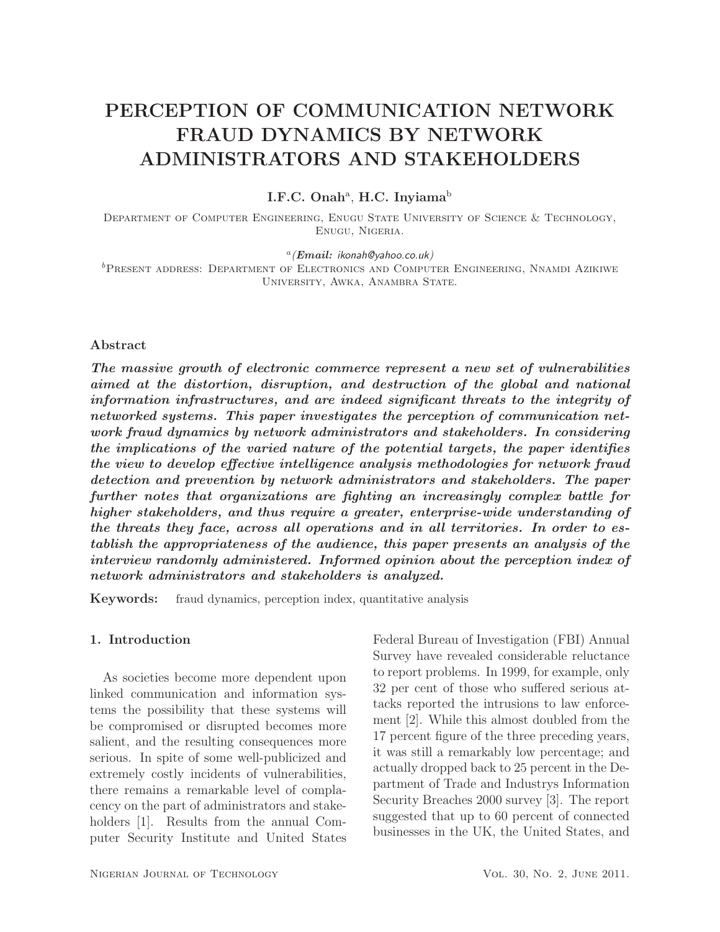# PERCEPTION OF COMMUNICATION NETWORK FRAUD DYNAMICS BY NETWORK ADMINISTRATORS AND STAKEHOLDERS

I.F.C. Onah<sup>a</sup>, H.C. Inyiama $^{\rm b}$ 

Department of Computer Engineering, Enugu State University of Science & Technology, Enugu, Nigeria.

a (*Email:* ikonah@yahoo.co.uk) <sup>b</sup>Present address: Department of Electronics and Computer Engineering, Nnamdi Azikiwe UNIVERSITY, AWKA, ANAMBRA STATE.

#### Abstract

*The massive growth of electronic commerce represent a new set of vulnerabilities aimed at the distortion, disruption, and destruction of the global and national information infrastructures, and are indeed significant threats to the integrity of networked systems. This paper investigates the perception of communication network fraud dynamics by network administrators and stakeholders. In considering the implications of the varied nature of the potential targets, the paper identifies the view to develop effective intelligence analysis methodologies for network fraud detection and prevention by network administrators and stakeholders. The paper further notes that organizations are fighting an increasingly complex battle for higher stakeholders, and thus require a greater, enterprise-wide understanding of the threats they face, across all operations and in all territories. In order to establish the appropriateness of the audience, this paper presents an analysis of the interview randomly administered. Informed opinion about the perception index of network administrators and stakeholders is analyzed.*

Keywords: fraud dynamics, perception index, quantitative analysis

## 1. Introduction

As societies become more dependent upon linked communication and information systems the possibility that these systems will be compromised or disrupted becomes more salient, and the resulting consequences more serious. In spite of some well-publicized and extremely costly incidents of vulnerabilities, there remains a remarkable level of complacency on the part of administrators and stakeholders [1]. Results from the annual Computer Security Institute and United States

Federal Bureau of Investigation (FBI) Annual Survey have revealed considerable reluctance to report problems. In 1999, for example, only 32 per cent of those who suffered serious attacks reported the intrusions to law enforcement [2]. While this almost doubled from the 17 percent figure of the three preceding years, it was still a remarkably low percentage; and actually dropped back to 25 percent in the Department of Trade and Industrys Information Security Breaches 2000 survey [3]. The report suggested that up to 60 percent of connected businesses in the UK, the United States, and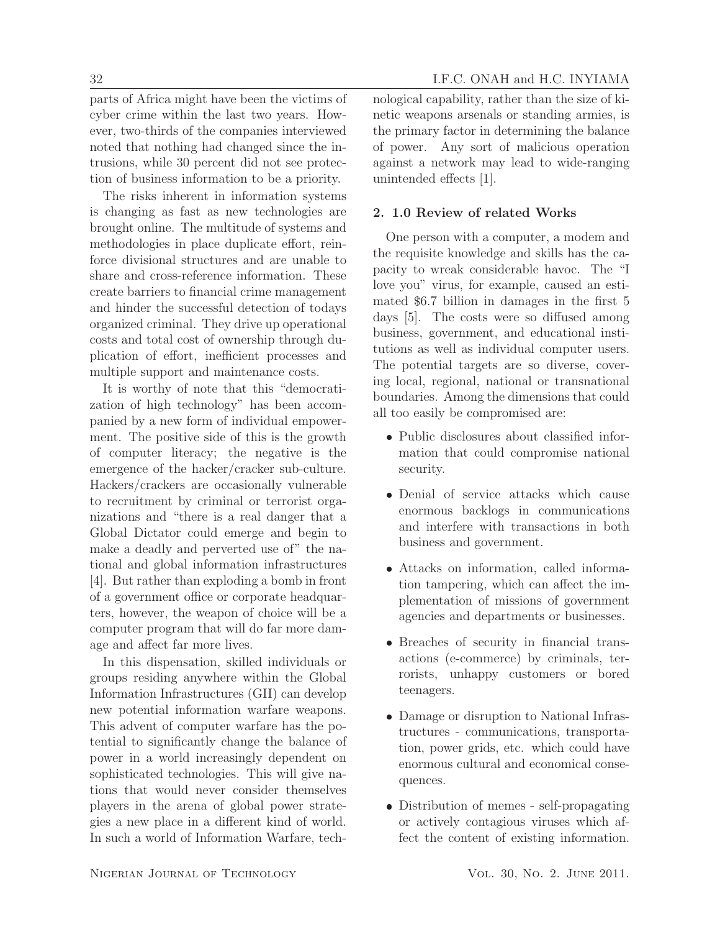# 32 I.F.C. ONAH and H.C. INYIAMA

parts of Africa might have been the victims of cyber crime within the last two years. However, two-thirds of the companies interviewed noted that nothing had changed since the intrusions, while 30 percent did not see protection of business information to be a priority.

The risks inherent in information systems is changing as fast as new technologies are brought online. The multitude of systems and methodologies in place duplicate effort, reinforce divisional structures and are unable to share and cross-reference information. These create barriers to financial crime management and hinder the successful detection of todays organized criminal. They drive up operational costs and total cost of ownership through duplication of effort, inefficient processes and multiple support and maintenance costs.

It is worthy of note that this "democratization of high technology" has been accompanied by a new form of individual empowerment. The positive side of this is the growth of computer literacy; the negative is the emergence of the hacker/cracker sub-culture. Hackers/crackers are occasionally vulnerable to recruitment by criminal or terrorist organizations and "there is a real danger that a Global Dictator could emerge and begin to make a deadly and perverted use of" the national and global information infrastructures [4]. But rather than exploding a bomb in front of a government office or corporate headquarters, however, the weapon of choice will be a computer program that will do far more damage and affect far more lives.

In this dispensation, skilled individuals or groups residing anywhere within the Global Information Infrastructures (GII) can develop new potential information warfare weapons. This advent of computer warfare has the potential to significantly change the balance of power in a world increasingly dependent on sophisticated technologies. This will give nations that would never consider themselves players in the arena of global power strategies a new place in a different kind of world. In such a world of Information Warfare, technological capability, rather than the size of kinetic weapons arsenals or standing armies, is the primary factor in determining the balance of power. Any sort of malicious operation against a network may lead to wide-ranging unintended effects [1].

# 2. 1.0 Review of related Works

One person with a computer, a modem and the requisite knowledge and skills has the capacity to wreak considerable havoc. The "I love you" virus, for example, caused an estimated 6.7 billion in damages in the first 5 days [5]. The costs were so diffused among business, government, and educational institutions as well as individual computer users. The potential targets are so diverse, covering local, regional, national or transnational boundaries. Among the dimensions that could all too easily be compromised are:

- Public disclosures about classified information that could compromise national security.
- Denial of service attacks which cause enormous backlogs in communications and interfere with transactions in both business and government.
- Attacks on information, called information tampering, which can affect the implementation of missions of government agencies and departments or businesses.
- Breaches of security in financial transactions (e-commerce) by criminals, terrorists, unhappy customers or bored teenagers.
- Damage or disruption to National Infrastructures - communications, transportation, power grids, etc. which could have enormous cultural and economical consequences.
- Distribution of memes self-propagating or actively contagious viruses which affect the content of existing information.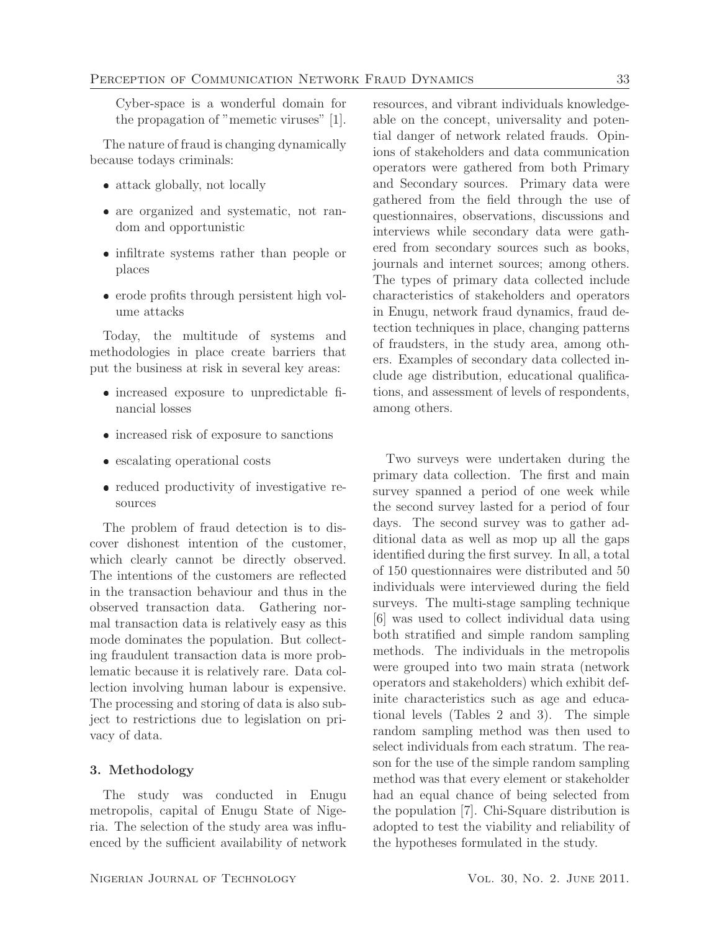Cyber-space is a wonderful domain for the propagation of "memetic viruses" [1].

The nature of fraud is changing dynamically because todays criminals:

- attack globally, not locally
- are organized and systematic, not random and opportunistic
- infiltrate systems rather than people or places
- erode profits through persistent high volume attacks

Today, the multitude of systems and methodologies in place create barriers that put the business at risk in several key areas:

- increased exposure to unpredictable financial losses
- increased risk of exposure to sanctions
- escalating operational costs
- reduced productivity of investigative resources

The problem of fraud detection is to discover dishonest intention of the customer, which clearly cannot be directly observed. The intentions of the customers are reflected in the transaction behaviour and thus in the observed transaction data. Gathering normal transaction data is relatively easy as this mode dominates the population. But collecting fraudulent transaction data is more problematic because it is relatively rare. Data collection involving human labour is expensive. The processing and storing of data is also subject to restrictions due to legislation on privacy of data.

#### 3. Methodology

The study was conducted in Enugu metropolis, capital of Enugu State of Nigeria. The selection of the study area was influenced by the sufficient availability of network

resources, and vibrant individuals knowledgeable on the concept, universality and potential danger of network related frauds. Opinions of stakeholders and data communication operators were gathered from both Primary and Secondary sources. Primary data were gathered from the field through the use of questionnaires, observations, discussions and interviews while secondary data were gathered from secondary sources such as books, journals and internet sources; among others. The types of primary data collected include characteristics of stakeholders and operators in Enugu, network fraud dynamics, fraud detection techniques in place, changing patterns of fraudsters, in the study area, among others. Examples of secondary data collected include age distribution, educational qualifications, and assessment of levels of respondents, among others.

Two surveys were undertaken during the primary data collection. The first and main survey spanned a period of one week while the second survey lasted for a period of four days. The second survey was to gather additional data as well as mop up all the gaps identified during the first survey. In all, a total of 150 questionnaires were distributed and 50 individuals were interviewed during the field surveys. The multi-stage sampling technique [6] was used to collect individual data using both stratified and simple random sampling methods. The individuals in the metropolis were grouped into two main strata (network operators and stakeholders) which exhibit definite characteristics such as age and educational levels (Tables 2 and 3). The simple random sampling method was then used to select individuals from each stratum. The reason for the use of the simple random sampling method was that every element or stakeholder had an equal chance of being selected from the population [7]. Chi-Square distribution is adopted to test the viability and reliability of the hypotheses formulated in the study.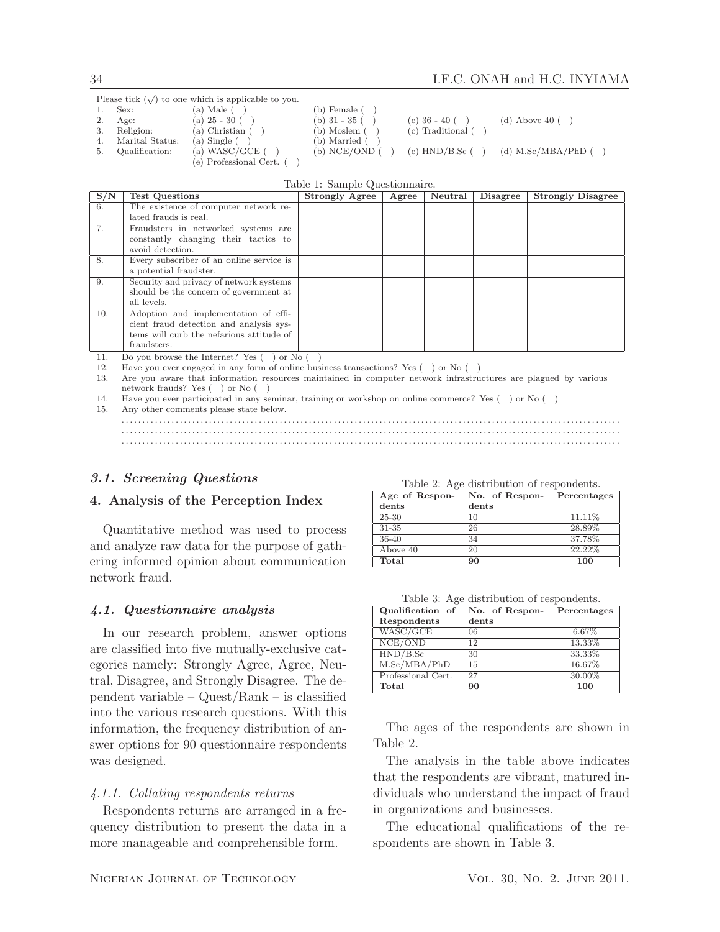Please tick  $(\sqrt{})$  to one which is applicable to you.

- 1. Sex: (a) Male ( ) (b) Female ( 2. Age: (a) 25 30 ( ) (b) 31 35 (
	-
	-
- 
- 4. Marital Status: (a) Single ( )<br>5. Qualification: (a)  $WASC/GCE$  ( )
	- (e) Professional Cert. ( )
- $\begin{array}{cc}\n\text{Religion:} & \text{(a) Christian ( )} \\
\text{Marital Status:} & \text{(a) Single ( )} \\
\text{(b) Married ( )}\n\end{array}$
- 
- 2. Age: (a) 25 30 ( ) (b) 31 35 ( ) (c) 36 40 ( ) (d) Above 40 ( )<br>3. Religion: (a) Christian ( ) (b) Moslem ( ) (c) Traditional ( ) 5. Qualification: (a) WASC/GCE ( ) (b) NCE/OND ( ) (c) HND/B.Sc ( ) (d) M.Sc/MBA/PhD ( )
	-

Table 1: Sample Questionnaire.

| S/N | <b>Test Questions</b>                                                                                           | <b>Strongly Agree</b> | Agree | Neutral | <b>Disagree</b> | <b>Strongly Disagree</b> |  |  |  |  |
|-----|-----------------------------------------------------------------------------------------------------------------|-----------------------|-------|---------|-----------------|--------------------------|--|--|--|--|
| 6.  | The existence of computer network re-                                                                           |                       |       |         |                 |                          |  |  |  |  |
|     | lated frauds is real.                                                                                           |                       |       |         |                 |                          |  |  |  |  |
| 7.  | Fraudsters in networked systems are                                                                             |                       |       |         |                 |                          |  |  |  |  |
|     | constantly changing their tactics to                                                                            |                       |       |         |                 |                          |  |  |  |  |
|     | avoid detection.                                                                                                |                       |       |         |                 |                          |  |  |  |  |
| 8.  | Every subscriber of an online service is                                                                        |                       |       |         |                 |                          |  |  |  |  |
|     | a potential fraudster.                                                                                          |                       |       |         |                 |                          |  |  |  |  |
| 9.  | Security and privacy of network systems                                                                         |                       |       |         |                 |                          |  |  |  |  |
|     | should be the concern of government at                                                                          |                       |       |         |                 |                          |  |  |  |  |
|     | all levels.                                                                                                     |                       |       |         |                 |                          |  |  |  |  |
| 10. | Adoption and implementation of effi-                                                                            |                       |       |         |                 |                          |  |  |  |  |
|     | cient fraud detection and analysis sys-                                                                         |                       |       |         |                 |                          |  |  |  |  |
|     | tems will curb the nefarious attitude of                                                                        |                       |       |         |                 |                          |  |  |  |  |
|     | fraudsters.                                                                                                     |                       |       |         |                 |                          |  |  |  |  |
|     | the contract of the contract of the contract of the contract of the contract of the contract of the contract of |                       |       |         |                 |                          |  |  |  |  |

11. Do you browse the Internet? Yes ( ) or No ( )

12. Have you ever engaged in any form of online business transactions? Yes ( ) or No ( )

13. Are you aware that information resources maintained in computer network infrastructures are plagued by various network frauds? Yes ( ) or No ( )

14. Have you ever participated in any seminar, training or workshop on online commerce? Yes ( ) or No ( ) 15. Any other comments please state below.

. . . . . . . . . . . . . . . . . . . . . . . . . . . . . . . . . . . . . . . . . . . . . . . . . . . . . . . . . . . . . . . . . . . . . . . . . . . . . . . . . . . . . . . . . . . . . . . . . . . . . . . . . . . . . . . . . . . . . . . . . . . . . . . . . . . . . . . . . . . . . . . . . . . . . . . . . . . . . . . . . . . . . . . . . . . . . . . . . . . . . . . . . . . . . . . . . . . . . . . . . . . . . . . . . . . . . . . . . . . . . . . . . . . . . . . . . . . . . . . . . . . . . . . . . . . . . . . . . . . . . . . . . . . . . . . . . . . . . . . . . . . . . . . . . . . . . . . . . . . . . . . . . . . . . . . . . . . . . . . . . . . . . . . . . . . . . . . . . . . . . . . . . . . . . . . . . . . . . . . .

#### *3.1. Screening Questions*

#### 4. Analysis of the Perception Index

Quantitative method was used to process and analyze raw data for the purpose of gathering informed opinion about communication network fraud.

#### *4.1. Questionnaire analysis*

In our research problem, answer options are classified into five mutually-exclusive categories namely: Strongly Agree, Agree, Neutral, Disagree, and Strongly Disagree. The dependent variable – Quest/Rank – is classified into the various research questions. With this information, the frequency distribution of answer options for 90 questionnaire respondents was designed.

#### 4.1.1. Collating respondents returns

Respondents returns are arranged in a frequency distribution to present the data in a more manageable and comprehensible form.

Table 2: Age distribution of respondents.

| Age of Respon- | No. of Respon- | Percentages |
|----------------|----------------|-------------|
| dents          | dents          |             |
| 25-30          | 10             | 11.11%      |
| 31-35          | 26             | 28.89%      |
| $36-40$        | 34             | 37.78%      |
| Above 40       | 20             | 22.22%      |
| Total          | 90             | 100         |

Table 3: Age distribution of respondents.

| Qualification of   | No. of Respon- | Percentages |
|--------------------|----------------|-------------|
| Respondents        | dents          |             |
| WASC/GCE           | 06             | 6.67%       |
| NCE/OND            | 12             | 13.33%      |
| $HND/B.$ Sc        | 30             | 33.33%      |
| M.Sc/MBA/PhD       | 15             | 16.67%      |
| Professional Cert. | 27             | 30.00%      |
| Total              | 90             | 100         |

The ages of the respondents are shown in Table 2.

The analysis in the table above indicates that the respondents are vibrant, matured individuals who understand the impact of fraud in organizations and businesses.

The educational qualifications of the respondents are shown in Table 3.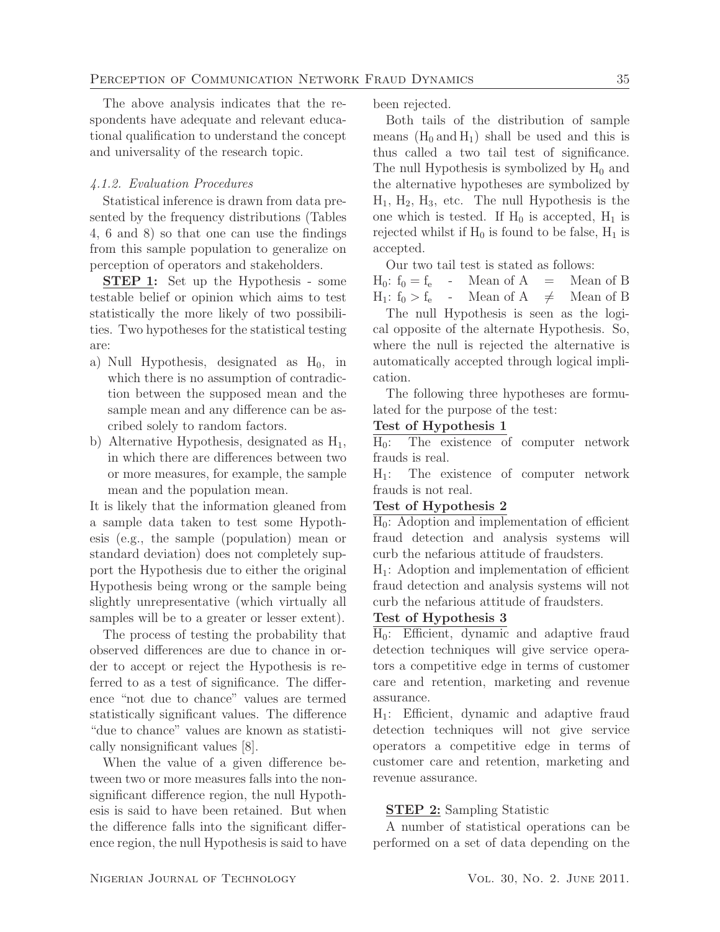The above analysis indicates that the respondents have adequate and relevant educational qualification to understand the concept and universality of the research topic.

#### 4.1.2. Evaluation Procedures

Statistical inference is drawn from data presented by the frequency distributions (Tables 4, 6 and 8) so that one can use the findings from this sample population to generalize on perception of operators and stakeholders.

STEP 1: Set up the Hypothesis - some testable belief or opinion which aims to test statistically the more likely of two possibilities. Two hypotheses for the statistical testing are:

- a) Null Hypothesis, designated as  $H_0$ , in which there is no assumption of contradiction between the supposed mean and the sample mean and any difference can be ascribed solely to random factors.
- b) Alternative Hypothesis, designated as  $H_1$ , in which there are differences between two or more measures, for example, the sample mean and the population mean.

It is likely that the information gleaned from a sample data taken to test some Hypothesis (e.g., the sample (population) mean or standard deviation) does not completely support the Hypothesis due to either the original Hypothesis being wrong or the sample being slightly unrepresentative (which virtually all samples will be to a greater or lesser extent).

The process of testing the probability that observed differences are due to chance in order to accept or reject the Hypothesis is referred to as a test of significance. The difference "not due to chance" values are termed statistically significant values. The difference "due to chance" values are known as statistically nonsignificant values [8].

When the value of a given difference between two or more measures falls into the nonsignificant difference region, the null Hypothesis is said to have been retained. But when the difference falls into the significant difference region, the null Hypothesis is said to have been rejected.

Both tails of the distribution of sample means  $(H_0 \text{ and } H_1)$  shall be used and this is thus called a two tail test of significance. The null Hypothesis is symbolized by  $H_0$  and the alternative hypotheses are symbolized by  $H_1$ ,  $H_2$ ,  $H_3$ , etc. The null Hypothesis is the one which is tested. If  $H_0$  is accepted,  $H_1$  is rejected whilst if  $H_0$  is found to be false,  $H_1$  is accepted.

Our two tail test is stated as follows:

 $H_0: f_0 = f_e$  - Mean of A = Mean of B  $H_1: f_0 > f_e$  - Mean of A  $\neq$  Mean of B The null Hypothesis is seen as the logical opposite of the alternate Hypothesis. So, where the null is rejected the alternative is automatically accepted through logical implication.

The following three hypotheses are formulated for the purpose of the test:

### Test of Hypothesis 1

 $H_0$ : The existence of computer network frauds is real.

 $H_1$ : The existence of computer network frauds is not real.

#### Test of Hypothesis 2

 $H_0$ : Adoption and implementation of efficient fraud detection and analysis systems will curb the nefarious attitude of fraudsters.

 $H_1$ : Adoption and implementation of efficient fraud detection and analysis systems will not curb the nefarious attitude of fraudsters.

#### Test of Hypothesis 3

H0: Efficient, dynamic and adaptive fraud detection techniques will give service operators a competitive edge in terms of customer care and retention, marketing and revenue assurance.

H1: Efficient, dynamic and adaptive fraud detection techniques will not give service operators a competitive edge in terms of customer care and retention, marketing and revenue assurance.

#### STEP 2: Sampling Statistic

A number of statistical operations can be performed on a set of data depending on the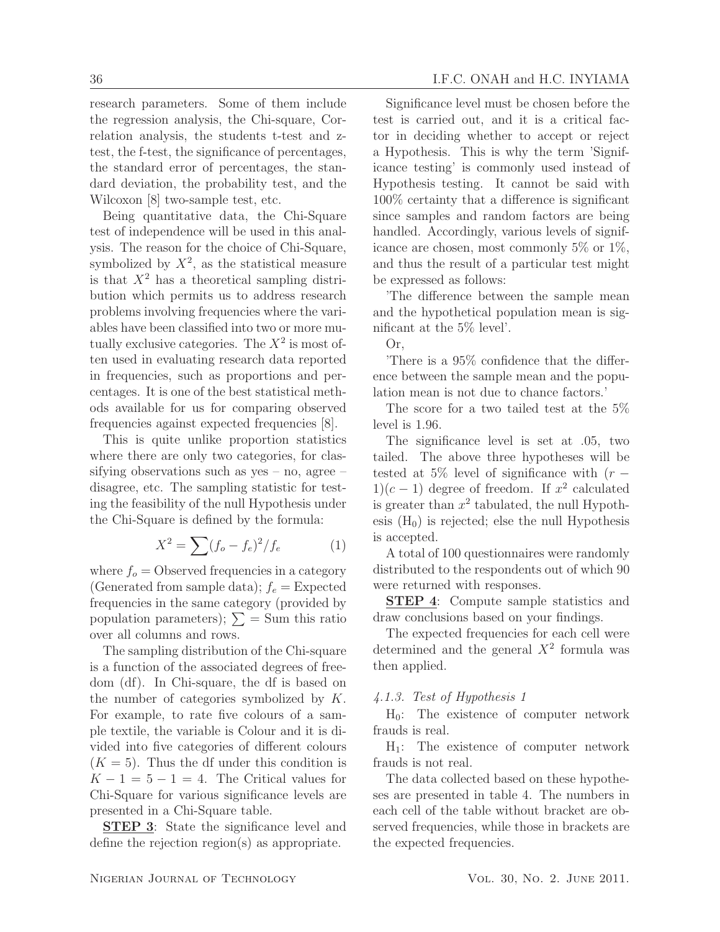research parameters. Some of them include the regression analysis, the Chi-square, Correlation analysis, the students t-test and ztest, the f-test, the significance of percentages, the standard error of percentages, the standard deviation, the probability test, and the Wilcoxon [8] two-sample test, etc.

Being quantitative data, the Chi-Square test of independence will be used in this analysis. The reason for the choice of Chi-Square, symbolized by  $X^2$ , as the statistical measure is that  $X^2$  has a theoretical sampling distribution which permits us to address research problems involving frequencies where the variables have been classified into two or more mutually exclusive categories. The  $X^2$  is most often used in evaluating research data reported in frequencies, such as proportions and percentages. It is one of the best statistical methods available for us for comparing observed frequencies against expected frequencies [8].

This is quite unlike proportion statistics where there are only two categories, for classifying observations such as yes – no, agree – disagree, etc. The sampling statistic for testing the feasibility of the null Hypothesis under the Chi-Square is defined by the formula:

$$
X^2 = \sum (f_o - f_e)^2 / f_e \tag{1}
$$

where  $f<sub>o</sub> =$  Observed frequencies in a category (Generated from sample data);  $f_e =$  Expected frequencies in the same category (provided by population parameters);  $\Sigma =$  Sum this ratio over all columns and rows.

The sampling distribution of the Chi-square is a function of the associated degrees of freedom (df). In Chi-square, the df is based on the number of categories symbolized by K. For example, to rate five colours of a sample textile, the variable is Colour and it is divided into five categories of different colours  $(K = 5)$ . Thus the df under this condition is  $K-1=5-1=4$ . The Critical values for Chi-Square for various significance levels are presented in a Chi-Square table.

**STEP 3**: State the significance level and define the rejection region(s) as appropriate.

Significance level must be chosen before the test is carried out, and it is a critical factor in deciding whether to accept or reject a Hypothesis. This is why the term 'Significance testing' is commonly used instead of Hypothesis testing. It cannot be said with 100% certainty that a difference is significant since samples and random factors are being handled. Accordingly, various levels of significance are chosen, most commonly 5% or 1%, and thus the result of a particular test might be expressed as follows:

'The difference between the sample mean and the hypothetical population mean is significant at the 5% level'.

Or,

'There is a 95% confidence that the difference between the sample mean and the population mean is not due to chance factors.'

The score for a two tailed test at the 5% level is 1.96.

The significance level is set at .05, two tailed. The above three hypotheses will be tested at 5% level of significance with  $(r -$ 1) $(c-1)$  degree of freedom. If  $x^2$  calculated is greater than  $x^2$  tabulated, the null Hypothesis  $(H_0)$  is rejected; else the null Hypothesis is accepted.

A total of 100 questionnaires were randomly distributed to the respondents out of which 90 were returned with responses.

**STEP 4:** Compute sample statistics and draw conclusions based on your findings.

The expected frequencies for each cell were determined and the general  $X^2$  formula was then applied.

#### 4.1.3. Test of Hypothesis 1

 $H_0$ : The existence of computer network frauds is real.

 $H_1$ : The existence of computer network frauds is not real.

The data collected based on these hypotheses are presented in table 4. The numbers in each cell of the table without bracket are observed frequencies, while those in brackets are the expected frequencies.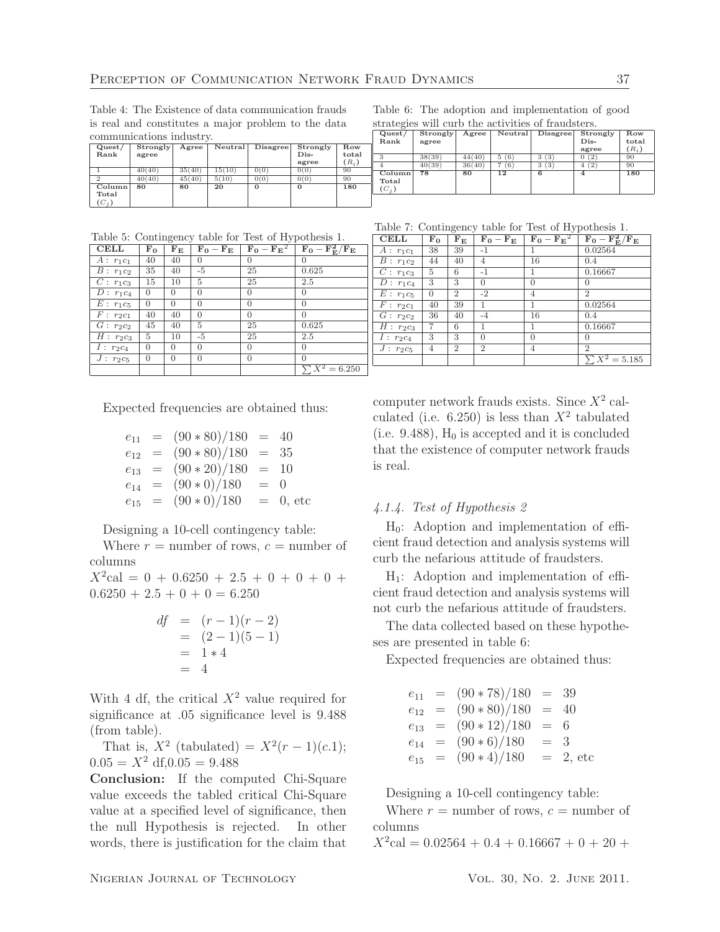| communications industry. |          |        |         |          |          |         |  |  |
|--------------------------|----------|--------|---------|----------|----------|---------|--|--|
| $Q$ uest/                | Strongly | Agree  | Neutral | Disagree | Strongly | Row     |  |  |
| Rank                     | agree    |        |         |          | Dis-     | total   |  |  |
|                          |          |        |         |          | agree    | $(R_i)$ |  |  |
|                          | 40(40)   | 35(40) | 15(10)  | 0(0)     | 0(0)     | 90      |  |  |
| $\Omega$                 | 40(40)   | 45(40) | 5(10)   | 0(0)     | 0(0)     | 90      |  |  |
| Column                   | 80       | 80     | 20      |          | $\Omega$ | 180     |  |  |
| Total                    |          |        |         |          |          |         |  |  |
| $(C_i)$                  |          |        |         |          |          |         |  |  |

Table 4: The Existence of data communication frauds is real and constitutes a major problem to the data

Table 6: The adoption and implementation of good strategies will curb the activities of fraudsters.

|    | $Q$ uest/<br>Rank   | Strongly<br>agree | Agree  | Neutral   | Disagree | Strongly<br>Dis- | Row<br>total |
|----|---------------------|-------------------|--------|-----------|----------|------------------|--------------|
| w  |                     |                   |        |           |          | agree            | $(R_i)$      |
| al | 3                   | 38(39)            | 44(40) | (6)<br>5. | (3)<br>3 | (2)<br>0         | 90           |
| i) |                     | 40(39)            | 36(40) | (6)<br>7  | (3)<br>3 | (2)<br>4         | 90           |
|    | Column <sub>1</sub> | 78                | 80     | 12        | 6        | $\boldsymbol{4}$ | 180          |
|    | Total               |                   |        |           |          |                  |              |
| D. | $(C_i)$             |                   |        |           |          |                  |              |

Table 5: Contingency table for Test of Hypothesis 1.

| <b>CELL</b> | $F_0$    | ${\bf F_E}$    | $\mathbf{F}_0 - \mathbf{F}_E$ | $F_0 - F_E^2$ | $\mathrm{F}_0-\mathrm{F}_\mathrm{F}^2/\mathrm{F}_\mathrm{E}$ |
|-------------|----------|----------------|-------------------------------|---------------|--------------------------------------------------------------|
| $A: r_1c_1$ | 40       | 40             | $\Omega$                      | $\Omega$      | 0                                                            |
| $B: r_1c_2$ | 35       | 40             | -5                            | 25            | 0.625                                                        |
| $C: r_1c_3$ | 15       | 10             | 5                             | 25            | 2.5                                                          |
| $D: r_1c_4$ | 0        | $\Omega$       | $\Omega$                      | $\Omega$      | 0                                                            |
| $E: r_1c_5$ | $\Omega$ | $\Omega$       | $\Omega$                      | $\Omega$      | 0                                                            |
| $F: r_2c_1$ | 40       | 40             | $\Omega$                      | $\Omega$      | 0                                                            |
| $G: r_2c_2$ | 45       | 40             | 5                             | 25            | 0.625                                                        |
| $H: r_2c_3$ | 5        | 10             | -5                            | 25            | 2.5                                                          |
| $I: r_2c_4$ | $\Omega$ | $\Omega$       | $\Omega$                      | $\Omega$      | 0                                                            |
| $J: r_2c_5$ | 0        | $\overline{0}$ | $\Omega$                      | $\Omega$      | 0                                                            |
|             |          |                |                               |               | $\sum X^2 = 6.250$                                           |

Table 7: Contingency table for Test of Hypothesis 1.

| <b>CELL</b> | $\mathbf{F}_{0}$ | $\mathbf{F}_\mathrm{E}$ | $\mathbf{F_0}-\mathbf{F_E}$ | $\overline{\mathrm{F}_0-\mathrm{F}_\mathrm{E}{}^2}$ | $\overline{\mathrm{F}_0-\mathrm{F_E^2}/\mathrm{F_E}}$ |
|-------------|------------------|-------------------------|-----------------------------|-----------------------------------------------------|-------------------------------------------------------|
| $A: r_1c_1$ | 38               | 39                      | $-1$                        |                                                     | 0.02564                                               |
| $B: r_1c_2$ | 44               | 40                      | $\overline{4}$              | 16                                                  | 0.4                                                   |
| $C: r_1c_3$ | 5                | 6                       | $-1$                        | 1                                                   | 0.16667                                               |
| $D: r_1c_4$ | 3                | 3                       | $\Omega$                    | $\Omega$                                            | $\Omega$                                              |
| $E: r_1c_5$ | $\theta$         | $\overline{2}$          | $-2$                        | $\overline{4}$                                      | $\overline{2}$                                        |
| $F: r_2c_1$ | 40               | 39                      | 1                           | 1                                                   | 0.02564                                               |
| $G: r_2c_2$ | 36               | 40                      | $-4$                        | 16                                                  | 0.4                                                   |
| $H: r_2c_3$ | 7                | 6                       | 1                           | 1                                                   | 0.16667                                               |
| $I: r_2c_4$ | 3                | 3                       | $\Omega$                    | $\Omega$                                            | $\Omega$                                              |
| $J: r_2c_5$ | 4                | $\overline{2}$          | $\overline{2}$              | $\overline{4}$                                      | $\overline{2}$                                        |
|             |                  |                         |                             |                                                     | $\sum X^2 = 5.185$                                    |

Expected frequencies are obtained thus:

 $e_{11} = (90 * 80)/180 = 40$  $e_{12} = (90 * 80)/180 = 35$  $e_{13} = (90 * 20)/180 = 10$  $e_{14} = (90 * 0)/180 = 0$  $e_{15} = (90 * 0)/180 = 0$ , etc

Designing a 10-cell contingency table:

Where  $r =$  number of rows,  $c =$  number of columns

 $X^2$ cal = 0 + 0.6250 + 2.5 + 0 + 0 + 0 +  $0.6250 + 2.5 + 0 + 0 = 6.250$ 

$$
df = (r - 1)(r - 2) \n= (2 - 1)(5 - 1) \n= 1 * 4 \n= 4
$$

With 4 df, the critical  $X^2$  value required for significance at .05 significance level is 9.488 (from table).

That is,  $X^2$  (tabulated) =  $X^2(r-1)(c.1)$ ;  $0.05 = X^2$  df, $0.05 = 9.488$ 

Conclusion: If the computed Chi-Square value exceeds the tabled critical Chi-Square value at a specified level of significance, then the null Hypothesis is rejected. In other words, there is justification for the claim that

computer network frauds exists. Since  $X^2$  calculated (i.e. 6.250) is less than  $X^2$  tabulated (i.e. 9.488),  $H_0$  is accepted and it is concluded that the existence of computer network frauds is real.

#### 4.1.4. Test of Hypothesis 2

 $H_0$ : Adoption and implementation of efficient fraud detection and analysis systems will curb the nefarious attitude of fraudsters.

H1: Adoption and implementation of efficient fraud detection and analysis systems will not curb the nefarious attitude of fraudsters.

The data collected based on these hypotheses are presented in table 6:

Expected frequencies are obtained thus:

| $e_{11}$ | $=$ $(90 * 78)/180 = 39$ |        |            |
|----------|--------------------------|--------|------------|
| $e_{12}$ | $=$ $(90 * 80)/180$      | $= 40$ |            |
| $e_{13}$ | $=$ $(90 * 12)/180$      | $= 6$  |            |
| $e_{14}$ | $= (90 * 6)/180$         | $=$ 3  |            |
| $e_{15}$ | $= (90 * 4)/180$         |        | $= 2, etc$ |

Designing a 10-cell contingency table:

Where  $r =$  number of rows,  $c =$  number of columns

 $X^2$ cal = 0.02564 + 0.4 + 0.16667 + 0 + 20 +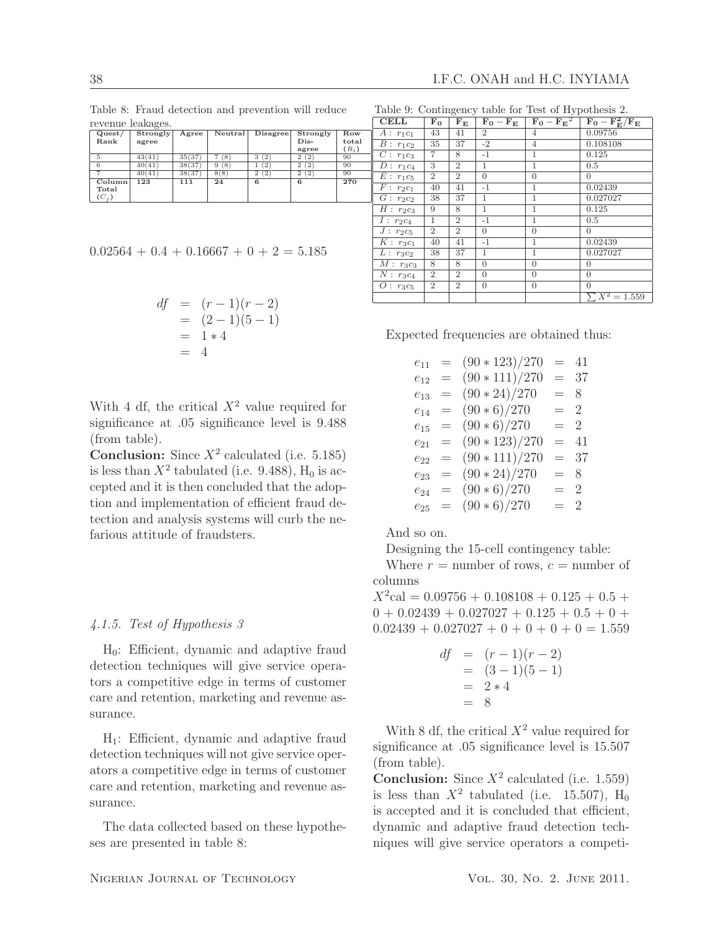Table 8: Fraud detection and prevention will reduce revenue leakages.

| Quest/                       | Strongly | Agree  | Neutral  | Disagree | Strongly              | Row     | А              |
|------------------------------|----------|--------|----------|----------|-----------------------|---------|----------------|
| Rank                         | agree    |        |          |          | Dis-                  | total   | Б              |
|                              |          |        |          |          | agree                 | $(R_i)$ |                |
| 5                            | 43(41)   | 35(37) | (8)<br>7 | (2)<br>3 | $\overline{2}$<br>(2) | 90      | C              |
| 6                            | 40(41)   | 38(37) | (8)<br>9 | (2)      | (2)<br>$\overline{2}$ | 90      | Г              |
|                              | 40(41)   | 38(37) | 8(8)     | (2)<br>2 | (2)<br>$\mathbf{2}$   | 90      | E              |
| $\overline{\mathrm{Column}}$ | 123      | 111    | 24       | 6        | 6                     | 270     |                |
| Total                        |          |        |          |          |                       |         | $\overline{F}$ |
| $(C_i)$                      |          |        |          |          |                       |         | G              |

 $0.02564 + 0.4 + 0.16667 + 0 + 2 = 5.185$ 

$$
df = (r - 1)(r - 2) \n= (2 - 1)(5 - 1) \n= 1 * 4 \n= 4
$$

With 4 df, the critical  $X^2$  value required for significance at .05 significance level is 9.488 (from table).

**Conclusion:** Since  $X^2$  calculated (i.e. 5.185) is less than  $X^2$  tabulated (i.e. 9.488),  $H_0$  is accepted and it is then concluded that the adoption and implementation of efficient fraud detection and analysis systems will curb the nefarious attitude of fraudsters.

#### 4.1.5. Test of Hypothesis 3

 $H_0$ : Efficient, dynamic and adaptive fraud detection techniques will give service operators a competitive edge in terms of customer care and retention, marketing and revenue assurance.

H1: Efficient, dynamic and adaptive fraud detection techniques will not give service operators a competitive edge in terms of customer care and retention, marketing and revenue assurance.

The data collected based on these hypotheses are presented in table 8:

|                           |                  |                | Lable 9. Contingency table for Test of Hypothesis 2. |                |                                                                                                               |  |
|---------------------------|------------------|----------------|------------------------------------------------------|----------------|---------------------------------------------------------------------------------------------------------------|--|
| $\operatorname{CELL}$     | $\mathbf{F}_{0}$ | ${\bf F_E}$    | $F_0 - F_E$                                          |                | $\boxed{\text{F}_0-\text{F}_\text{E}^{\,2}\,\parallel\,\text{F}_0-\text{F}_\text{E}^{\,2}/\text{F}_\text{E}}$ |  |
| $A: r_1c_1$               | 43               | 41             | $\overline{2}$                                       | $\overline{4}$ | 0.09756                                                                                                       |  |
| $\overline{B}$ : $r_1c_2$ | 35               | 37             | $-2$                                                 | $\overline{4}$ | 0.108108                                                                                                      |  |
| $\overline{C}: r_1c_3$    | $\overline{7}$   | 8              | $-1$                                                 | 1              | 0.125                                                                                                         |  |
| $D: r_1c_4$               | 3                | $\overline{2}$ | 1                                                    | 1              | 0.5                                                                                                           |  |
| $E: r_1c_5$               | $\overline{2}$   | $\overline{2}$ | $\overline{0}$                                       | $\overline{0}$ | $\Omega$                                                                                                      |  |
| $F: r_2c_1$               | 40               | 41             | $-1$                                                 | $\mathbf{1}$   | 0.02439                                                                                                       |  |
| $\overline{G}$ : $r_2c_2$ | 38               | 37             | 1                                                    | 1              | 0.027027                                                                                                      |  |
| $H: r_2c_3$               | 9                | 8              | 1                                                    | 1              | 0.125                                                                                                         |  |
| $I: r_2c_4$               | $\mathbf{1}$     | $\overline{2}$ | $-1$                                                 | 1              | 0.5                                                                                                           |  |
| $J: r_2c_5$               | $\overline{2}$   | $\overline{2}$ | $\overline{0}$                                       | $\overline{0}$ | $\Omega$                                                                                                      |  |
| $K: r_3c_1$               | 40               | 41             | $-1$                                                 | 1              | 0.02439                                                                                                       |  |
| $L: r_3c_2$               | 38               | 37             | 1                                                    | 1              | 0.027027                                                                                                      |  |
| $M: r_3c_3$               | 8                | 8              | $\overline{0}$                                       | $\overline{0}$ | $\overline{0}$                                                                                                |  |
| $N: r_3c_4$               | 2                | $\overline{2}$ | $\overline{0}$                                       | $\overline{0}$ | $\overline{0}$                                                                                                |  |
| $O: r_3c_5$               | $\overline{2}$   | $\overline{2}$ | $\theta$                                             | $\overline{0}$ | $\overline{0}$                                                                                                |  |
|                           |                  |                |                                                      |                | $\sum X^2 = 1.559$                                                                                            |  |
|                           |                  |                |                                                      |                |                                                                                                               |  |

Expected frequencies are obtained thus:

| $e_{11}$ | $=$ | $(90 * 123)/270$   |       | $= 41$ |
|----------|-----|--------------------|-------|--------|
| $e_{12}$ | $=$ | $(90 * 111)/270$   |       | $= 37$ |
| $e_{13}$ |     | $= (90 * 24)/270$  | $= 8$ |        |
| $e_{14}$ |     | $= (90 * 6)/270$   | $= 2$ |        |
| $e_{15}$ |     | $= (90 * 6)/270$   | $=$ 2 |        |
| $e_{21}$ |     | $= (90 * 123)/270$ |       | $= 41$ |
| $e_{22}$ |     | $= (90 * 111)/270$ |       | $= 37$ |
| $e_{23}$ |     | $= (90 * 24)/270$  | $= 8$ |        |
| $e_{24}$ |     | $= (90 * 6)/270$   | $=$ 2 |        |
| $e_{25}$ |     | $= (90 * 6)/270$   | $=$ 2 |        |

And so on.

Designing the 15-cell contingency table:

Where  $r =$  number of rows,  $c =$  number of columns

 $X^2$ cal = 0.09756 + 0.108108 + 0.125 + 0.5 +  $0 + 0.02439 + 0.027027 + 0.125 + 0.5 + 0 +$  $0.02439 + 0.027027 + 0 + 0 + 0 + 0 = 1.559$ 

$$
df = (r - 1)(r - 2) \n= (3 - 1)(5 - 1) \n= 2 * 4 \n= 8
$$

With 8 df, the critical  $X^2$  value required for significance at .05 significance level is 15.507 (from table).

**Conclusion:** Since  $X^2$  calculated (i.e. 1.559) is less than  $X^2$  tabulated (i.e. 15.507),  $H_0$ is accepted and it is concluded that efficient, dynamic and adaptive fraud detection techniques will give service operators a competi